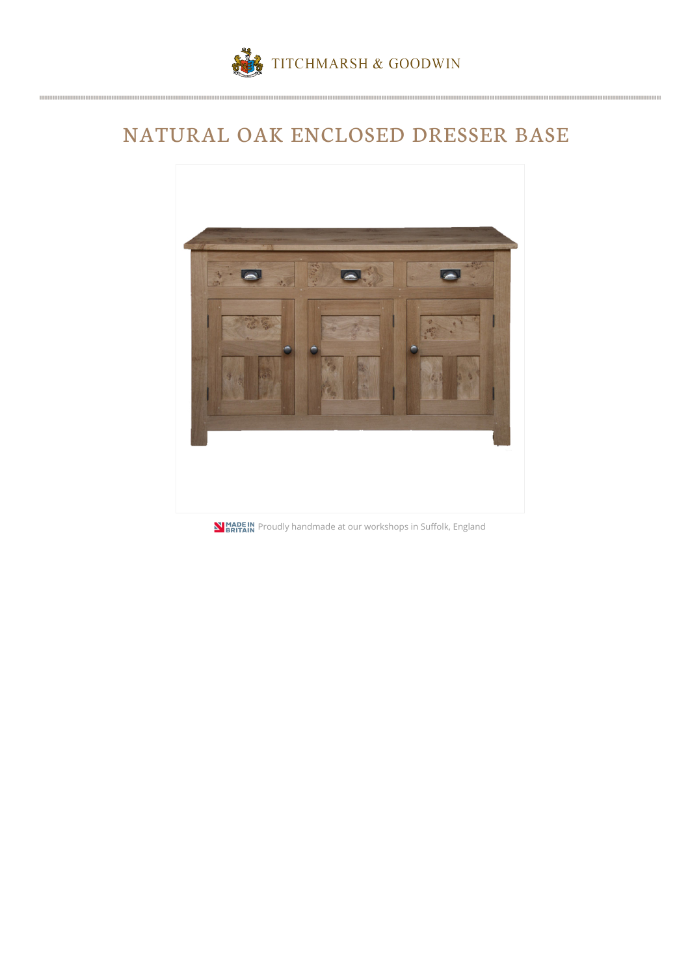

## NATURAL OAK ENCLOSED DRESSER BASE



**NIMADE IN**<br>**PRITAIN** Proudly handmade at our workshops in Suffolk, England